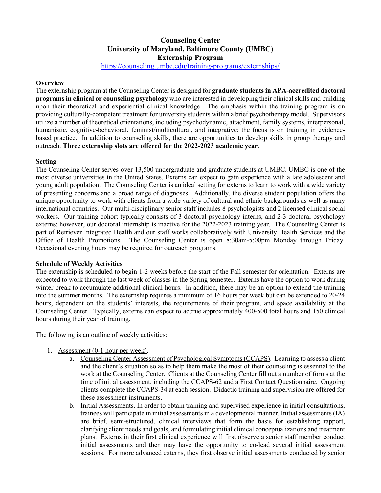# **Counseling Center University of Maryland, Baltimore County (UMBC) Externship Program**

<https://counseling.umbc.edu/training-programs/externships/>

## **Overview**

The externship program at the Counseling Center is designed for **graduate students in APA-accredited doctoral programs in clinical or counseling psychology** who are interested in developing their clinical skills and building upon their theoretical and experiential clinical knowledge. The emphasis within the training program is on providing culturally-competent treatment for university students within a brief psychotherapy model. Supervisors utilize a number of theoretical orientations, including psychodynamic, attachment, family systems, interpersonal, humanistic, cognitive-behavioral, feminist/multicultural, and integrative; the focus is on training in evidencebased practice. In addition to counseling skills, there are opportunities to develop skills in group therapy and outreach. **Three externship slots are offered for the 2022-2023 academic year**.

## **Setting**

The Counseling Center serves over 13,500 undergraduate and graduate students at UMBC. UMBC is one of the most diverse universities in the United States. Externs can expect to gain experience with a late adolescent and young adult population. The Counseling Center is an ideal setting for externs to learn to work with a wide variety of presenting concerns and a broad range of diagnoses. Additionally, the diverse student population offers the unique opportunity to work with clients from a wide variety of cultural and ethnic backgrounds as well as many international countries. Our multi-disciplinary senior staff includes 8 psychologists and 2 licensed clinical social workers. Our training cohort typically consists of 3 doctoral psychology interns, and 2-3 doctoral psychology externs; however, our doctoral internship is inactive for the 2022-2023 training year. The Counseling Center is part of Retriever Integrated Health and our staff works collaboratively with University Health Services and the Office of Health Promotions. The Counseling Center is open 8:30am-5:00pm Monday through Friday. Occasional evening hours may be required for outreach programs.

#### **Schedule of Weekly Activities**

The externship is scheduled to begin 1-2 weeks before the start of the Fall semester for orientation. Externs are expected to work through the last week of classes in the Spring semester. Externs have the option to work during winter break to accumulate additional clinical hours. In addition, there may be an option to extend the training into the summer months. The externship requires a minimum of 16 hours per week but can be extended to 20-24 hours, dependent on the students' interests, the requirements of their program, and space availability at the Counseling Center. Typically, externs can expect to accrue approximately 400-500 total hours and 150 clinical hours during their year of training.

The following is an outline of weekly activities:

- 1. Assessment (0-1 hour per week).
	- a. Counseling Center Assessment of Psychological Symptoms (CCAPS). Learning to assess a client and the client's situation so as to help them make the most of their counseling is essential to the work at the Counseling Center. Clients at the Counseling Center fill out a number of forms at the time of initial assessment, including the CCAPS-62 and a First Contact Questionnaire. Ongoing clients complete the CCAPS-34 at each session. Didactic training and supervision are offered for these assessment instruments.
	- b. Initial Assessments. In order to obtain training and supervised experience in initial consultations, trainees will participate in initial assessments in a developmental manner. Initial assessments (IA) are brief, semi-structured, clinical interviews that form the basis for establishing rapport, clarifying client needs and goals, and formulating initial clinical conceptualizations and treatment plans. Externs in their first clinical experience will first observe a senior staff member conduct initial assessments and then may have the opportunity to co-lead several initial assessment sessions. For more advanced externs, they first observe initial assessments conducted by senior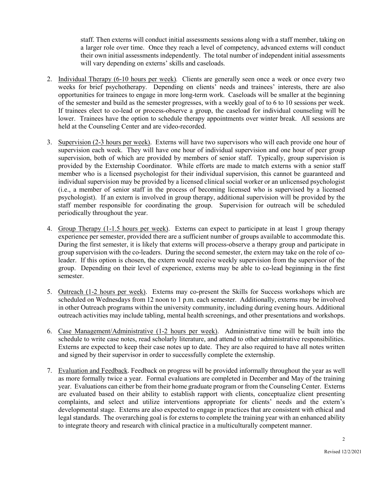staff. Then externs will conduct initial assessments sessions along with a staff member, taking on a larger role over time. Once they reach a level of competency, advanced externs will conduct their own initial assessments independently. The total number of independent initial assessments will vary depending on externs' skills and caseloads.

- 2. Individual Therapy (6-10 hours per week)*.* Clients are generally seen once a week or once every two weeks for brief psychotherapy. Depending on clients' needs and trainees' interests, there are also opportunities for trainees to engage in more long-term work. Caseloads will be smaller at the beginning of the semester and build as the semester progresses, with a weekly goal of to 6 to 10 sessions per week. If trainees elect to co-lead or process-observe a group, the caseload for individual counseling will be lower. Trainees have the option to schedule therapy appointments over winter break. All sessions are held at the Counseling Center and are video-recorded.
- 3. Supervision (2-3 hours per week). Externs will have two supervisors who will each provide one hour of supervision each week. They will have one hour of individual supervision and one hour of peer group supervision, both of which are provided by members of senior staff. Typically, group supervision is provided by the Externship Coordinator. While efforts are made to match externs with a senior staff member who is a licensed psychologist for their individual supervision, this cannot be guaranteed and individual supervision may be provided by a licensed clinical social worker or an unlicensed psychologist (i.e., a member of senior staff in the process of becoming licensed who is supervised by a licensed psychologist). If an extern is involved in group therapy, additional supervision will be provided by the staff member responsible for coordinating the group. Supervision for outreach will be scheduled periodically throughout the year.
- 4. Group Therapy (1-1.5 hours per week). Externs can expect to participate in at least 1 group therapy experience per semester, provided there are a sufficient number of groups available to accommodate this. During the first semester, it is likely that externs will process-observe a therapy group and participate in group supervision with the co-leaders. During the second semester, the extern may take on the role of coleader. If this option is chosen, the extern would receive weekly supervision from the supervisor of the group. Depending on their level of experience, externs may be able to co-lead beginning in the first semester.
- 5. Outreach (1-2 hours per week). Externs may co-present the Skills for Success workshops which are scheduled on Wednesdays from 12 noon to 1 p.m. each semester. Additionally, externs may be involved in other Outreach programs within the university community, including during evening hours. Additional outreach activities may include tabling, mental health screenings, and other presentations and workshops.
- 6. Case Management/Administrative (1-2 hours per week). Administrative time will be built into the schedule to write case notes, read scholarly literature, and attend to other administrative responsibilities. Externs are expected to keep their case notes up to date. They are also required to have all notes written and signed by their supervisor in order to successfully complete the externship.
- 7. Evaluation and Feedback. Feedback on progress will be provided informally throughout the year as well as more formally twice a year. Formal evaluations are completed in December and May of the training year. Evaluations can either be from their home graduate program or from the Counseling Center. Externs are evaluated based on their ability to establish rapport with clients, conceptualize client presenting complaints, and select and utilize interventions appropriate for clients' needs and the extern's developmental stage. Externs are also expected to engage in practices that are consistent with ethical and legal standards. The overarching goal is for externs to complete the training year with an enhanced ability to integrate theory and research with clinical practice in a multiculturally competent manner.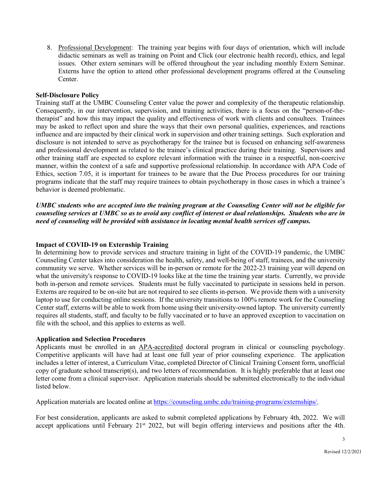8. Professional Development: The training year begins with four days of orientation, which will include didactic seminars as well as training on Point and Click (our electronic health record), ethics, and legal issues. Other extern seminars will be offered throughout the year including monthly Extern Seminar. Externs have the option to attend other professional development programs offered at the Counseling Center.

# **Self-Disclosure Policy**

Training staff at the UMBC Counseling Center value the power and complexity of the therapeutic relationship. Consequently, in our intervention, supervision, and training activities, there is a focus on the "person-of-thetherapist" and how this may impact the quality and effectiveness of work with clients and consultees. Trainees may be asked to reflect upon and share the ways that their own personal qualities, experiences, and reactions influence and are impacted by their clinical work in supervision and other training settings. Such exploration and disclosure is not intended to serve as psychotherapy for the trainee but is focused on enhancing self-awareness and professional development as related to the trainee's clinical practice during their training. Supervisors and other training staff are expected to explore relevant information with the trainee in a respectful, non-coercive manner, within the context of a safe and supportive professional relationship. In accordance with APA Code of Ethics, section 7.05, it is important for trainees to be aware that the Due Process procedures for our training programs indicate that the staff may require trainees to obtain psychotherapy in those cases in which a trainee's behavior is deemed problematic.

*UMBC students who are accepted into the training program at the Counseling Center will not be eligible for counseling services at UMBC so as to avoid any conflict of interest or dual relationships. Students who are in need of counseling will be provided with assistance in locating mental health services off campus.* 

## **Impact of COVID-19 on Externship Training**

In determining how to provide services and structure training in light of the COVID-19 pandemic, the UMBC Counseling Center takes into consideration the health, safety, and well-being of staff, trainees, and the university community we serve. Whether services will be in-person or remote for the 2022-23 training year will depend on what the university's response to COVID-19 looks like at the time the training year starts. Currently, we provide both in-person and remote services. Students must be fully vaccinated to participate in sessions held in person. Externs are required to be on-site but are not required to see clients in-person. We provide them with a university laptop to use for conducting online sessions. If the university transitions to 100% remote work for the Counseling Center staff, externs will be able to work from home using their university-owned laptop. The university currently requires all students, staff, and faculty to be fully vaccinated or to have an approved exception to vaccination on file with the school, and this applies to externs as well.

# **Application and Selection Procedures**

Applicants must be enrolled in an APA-accredited doctoral program in clinical or counseling psychology. Competitive applicants will have had at least one full year of prior counseling experience. The application includes a letter of interest, a Curriculum Vitae, completed Director of Clinical Training Consent form, unofficial copy of graduate school transcript(s), and two letters of recommendation. It is highly preferable that at least one letter come from a clinical supervisor. Application materials should be submitted electronically to the individual listed below.

Application materials are located online at [https://counseling.umbc.edu/training-programs/externships/.](https://counseling.umbc.edu/training-programs/externships/)

For best consideration, applicants are asked to submit completed applications by February 4th, 2022. We will accept applications until February 21<sup>st</sup> 2022, but will begin offering interviews and positions after the 4th.